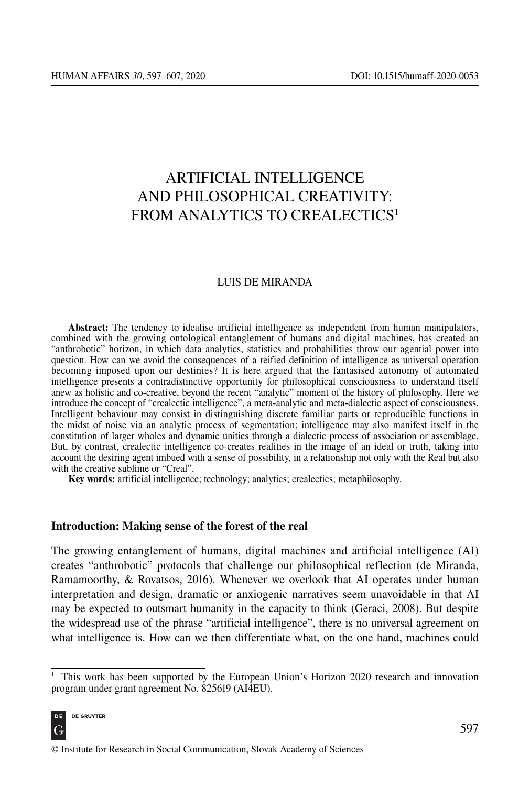# ARTIFICIAL INTELLIGENCE AND PHILOSOPHICAL CREATIVITY: FROM ANALYTICS TO CREALECTICS<sup>1</sup>

# LUIS DE MIRANDA

Abstract: The tendency to idealise artificial intelligence as independent from human manipulators, combined with the growing ontological entanglement of humans and digital machines, has created an "anthrobotic" horizon, in which data analytics, statistics and probabilities throw our agential power into question. How can we avoid the consequences of a reified definition of intelligence as universal operation becoming imposed upon our destinies? It is here argued that the fantasised autonomy of automated intelligence presents a contradistinctive opportunity for philosophical consciousness to understand itself anew as holistic and co-creative, beyond the recent "analytic" moment of the history of philosophy. Here we introduce the concept of "crealectic intelligence", a meta-analytic and meta-dialectic aspect of consciousness. Intelligent behaviour may consist in distinguishing discrete familiar parts or reproducible functions in the midst of noise via an analytic process of segmentation; intelligence may also manifest itself in the constitution of larger wholes and dynamic unities through a dialectic process of association or assemblage. But, by contrast, crealectic intelligence co-creates realities in the image of an ideal or truth, taking into account the desiring agent imbued with a sense of possibility, in a relationship not only with the Real but also with the creative sublime or "Creal".

Key words: artificial intelligence; technology; analytics; crealectics; metaphilosophy.

#### Introduction: Making sense of the forest of the real

The growing entanglement of humans, digital machines and artificial intelligence (AI) creates "anthrobotic" protocols that challenge our philosophical reflection (de Miranda, Ramamoorthy, & Rovatsos, 2016). Whenever we overlook that AI operates under human interpretation and design, dramatic or anxiogenic narratives seem unavoidable in that AI may be expected to outsmart humanity in the capacity to think (Geraci, 2008). But despite the widespread use of the phrase "artificial intelligence", there is no universal agreement on what intelligence is. How can we then differentiate what, on the one hand, machines could

<sup>&</sup>lt;sup>1</sup> This work has been supported by the European Union's Horizon 2020 research and innovation program under grant agreement No. 825619 (AI4EU).

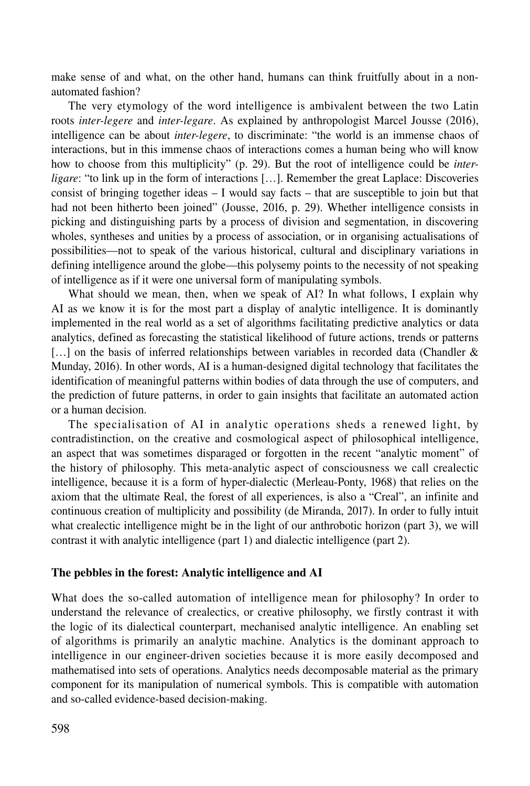make sense of and what, on the other hand, humans can think fruitfully about in a nonautomated fashion?

The very etymology of the word intelligence is ambivalent between the two Latin roots *inter-legere* and *inter-legare*. As explained by anthropologist Marcel Jousse (2016), intelligence can be about *inter-legere*, to discriminate: "the world is an immense chaos of interactions, but in this immense chaos of interactions comes a human being who will know how to choose from this multiplicity" (p. 29). But the root of intelligence could be *interligare*: "to link up in the form of interactions […]. Remember the great Laplace: Discoveries consist of bringing together ideas  $- I$  would say facts – that are susceptible to join but that had not been hitherto been joined" (Jousse, 2016, p. 29). Whether intelligence consists in picking and distinguishing parts by a process of division and segmentation, in discovering wholes, syntheses and unities by a process of association, or in organising actualisations of possibilities—not to speak of the various historical, cultural and disciplinary variations in defining intelligence around the globe—this polysemy points to the necessity of not speaking of intelligence as if it were one universal form of manipulating symbols.

What should we mean, then, when we speak of AI? In what follows, I explain why AI as we know it is for the most part a display of analytic intelligence. It is dominantly implemented in the real world as a set of algorithms facilitating predictive analytics or data analytics, defined as forecasting the statistical likelihood of future actions, trends or patterns [...] on the basis of inferred relationships between variables in recorded data (Chandler & Munday, 2016). In other words, AI is a human-designed digital technology that facilitates the identification of meaningful patterns within bodies of data through the use of computers, and the prediction of future patterns, in order to gain insights that facilitate an automated action or a human decision.

The specialisation of AI in analytic operations sheds a renewed light, by contradistinction, on the creative and cosmological aspect of philosophical intelligence, an aspect that was sometimes disparaged or forgotten in the recent "analytic moment" of the history of philosophy. This meta-analytic aspect of consciousness we call crealectic intelligence, because it is a form of hyper-dialectic (Merleau-Ponty, 1968) that relies on the axiom that the ultimate Real, the forest of all experiences, is also a "Creal", an infinite and continuous creation of multiplicity and possibility (de Miranda, 2017). In order to fully intuit what crealectic intelligence might be in the light of our anthrobotic horizon (part 3), we will contrast it with analytic intelligence (part 1) and dialectic intelligence (part 2).

### The pebbles in the forest: Analytic intelligence and AI

What does the so-called automation of intelligence mean for philosophy? In order to understand the relevance of crealectics, or creative philosophy, we firstly contrast it with the logic of its dialectical counterpart, mechanised analytic intelligence. An enabling set of algorithms is primarily an analytic machine. Analytics is the dominant approach to intelligence in our engineer-driven societies because it is more easily decomposed and mathematised into sets of operations. Analytics needs decomposable material as the primary component for its manipulation of numerical symbols. This is compatible with automation and so-called evidence-based decision-making.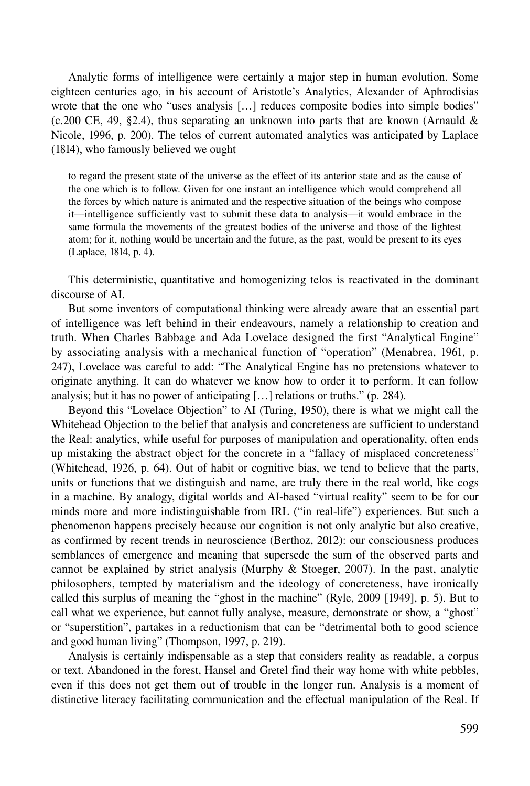Analytic forms of intelligence were certainly a major step in human evolution. Some eighteen centuries ago, in his account of Aristotle's Analytics, Alexander of Aphrodisias wrote that the one who "uses analysis [...] reduces composite bodies into simple bodies" (c.200 CE, 49, §2.4), thus separating an unknown into parts that are known (Arnauld  $\&$ Nicole, 1996, p. 200). The telos of current automated analytics was anticipated by Laplace (1814), who famously believed we ought

to regard the present state of the universe as the effect of its anterior state and as the cause of the one which is to follow. Given for one instant an intelligence which would comprehend all the forces by which nature is animated and the respective situation of the beings who compose it—intelligence sufficiently vast to submit these data to analysis—it would embrace in the same formula the movements of the greatest bodies of the universe and those of the lightest atom; for it, nothing would be uncertain and the future, as the past, would be present to its eyes (Laplace, 1814, p. 4).

This deterministic, quantitative and homogenizing telos is reactivated in the dominant discourse of AI.

But some inventors of computational thinking were already aware that an essential part of intelligence was left behind in their endeavours, namely a relationship to creation and truth. When Charles Babbage and Ada Lovelace designed the first "Analytical Engine" by associating analysis with a mechanical function of "operation" (Menabrea, 1961, p. 247), Lovelace was careful to add: "The Analytical Engine has no pretensions whatever to originate anything. It can do whatever we know how to order it to perform. It can follow analysis; but it has no power of anticipating […] relations or truths." (p. 284).

Beyond this "Lovelace Objection" to AI (Turing, 1950), there is what we might call the Whitehead Objection to the belief that analysis and concreteness are sufficient to understand the Real: analytics, while useful for purposes of manipulation and operationality, often ends up mistaking the abstract object for the concrete in a "fallacy of misplaced concreteness" (Whitehead, 1926, p. 64). Out of habit or cognitive bias, we tend to believe that the parts, units or functions that we distinguish and name, are truly there in the real world, like cogs in a machine. By analogy, digital worlds and AI-based "virtual reality" seem to be for our minds more and more indistinguishable from IRL ("in real-life") experiences. But such a phenomenon happens precisely because our cognition is not only analytic but also creative, as confirmed by recent trends in neuroscience (Berthoz, 2012): our consciousness produces semblances of emergence and meaning that supersede the sum of the observed parts and cannot be explained by strict analysis (Murphy & Stoeger, 2007). In the past, analytic philosophers, tempted by materialism and the ideology of concreteness, have ironically called this surplus of meaning the "ghost in the machine" (Ryle, 2009 [1949], p. 5). But to call what we experience, but cannot fully analyse, measure, demonstrate or show, a "ghost" or "superstition", partakes in a reductionism that can be "detrimental both to good science and good human living" (Thompson, 1997, p. 219).

Analysis is certainly indispensable as a step that considers reality as readable, a corpus or text. Abandoned in the forest, Hansel and Gretel find their way home with white pebbles, even if this does not get them out of trouble in the longer run. Analysis is a moment of distinctive literacy facilitating communication and the effectual manipulation of the Real. If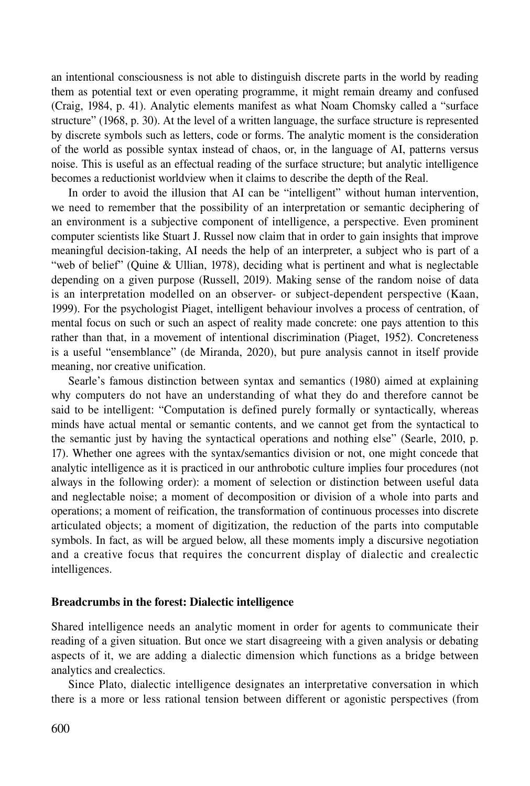an intentional consciousness is not able to distinguish discrete parts in the world by reading them as potential text or even operating programme, it might remain dreamy and confused (Craig, 1984, p. 41). Analytic elements manifest as what Noam Chomsky called a "surface structure" (1968, p. 30). At the level of a written language, the surface structure is represented by discrete symbols such as letters, code or forms. The analytic moment is the consideration of the world as possible syntax instead of chaos, or, in the language of AI, patterns versus noise. This is useful as an effectual reading of the surface structure; but analytic intelligence becomes a reductionist worldview when it claims to describe the depth of the Real.

In order to avoid the illusion that AI can be "intelligent" without human intervention, we need to remember that the possibility of an interpretation or semantic deciphering of an environment is a subjective component of intelligence, a perspective. Even prominent computer scientists like Stuart J. Russel now claim that in order to gain insights that improve meaningful decision-taking, AI needs the help of an interpreter, a subject who is part of a "web of belief" (Quine & Ullian, 1978), deciding what is pertinent and what is neglectable depending on a given purpose (Russell, 2019). Making sense of the random noise of data is an interpretation modelled on an observer- or subject-dependent perspective (Kaan, 1999). For the psychologist Piaget, intelligent behaviour involves a process of centration, of mental focus on such or such an aspect of reality made concrete: one pays attention to this rather than that, in a movement of intentional discrimination (Piaget, 1952). Concreteness is a useful "ensemblance" (de Miranda, 2020), but pure analysis cannot in itself provide meaning, nor creative unification.

Searle's famous distinction between syntax and semantics (1980) aimed at explaining why computers do not have an understanding of what they do and therefore cannot be said to be intelligent: "Computation is defined purely formally or syntactically, whereas minds have actual mental or semantic contents, and we cannot get from the syntactical to the semantic just by having the syntactical operations and nothing else" (Searle, 2010, p. 17). Whether one agrees with the syntax/semantics division or not, one might concede that analytic intelligence as it is practiced in our anthrobotic culture implies four procedures (not always in the following order): a moment of selection or distinction between useful data and neglectable noise; a moment of decomposition or division of a whole into parts and operations; a moment of reification, the transformation of continuous processes into discrete articulated objects; a moment of digitization, the reduction of the parts into computable symbols. In fact, as will be argued below, all these moments imply a discursive negotiation and a creative focus that requires the concurrent display of dialectic and crealectic intelligences.

# Breadcrumbs in the forest: Dialectic intelligence

Shared intelligence needs an analytic moment in order for agents to communicate their reading of a given situation. But once we start disagreeing with a given analysis or debating aspects of it, we are adding a dialectic dimension which functions as a bridge between analytics and crealectics.

Since Plato, dialectic intelligence designates an interpretative conversation in which there is a more or less rational tension between different or agonistic perspectives (from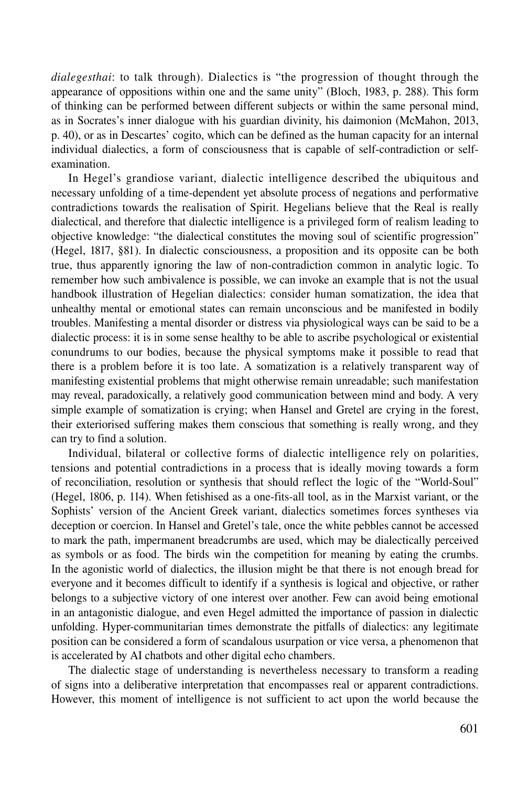*dialegesthai*: to talk through). Dialectics is "the progression of thought through the appearance of oppositions within one and the same unity" (Bloch, 1983, p. 288). This form of thinking can be performed between different subjects or within the same personal mind, as in Socrates's inner dialogue with his guardian divinity, his daimonion (McMahon, 2013, p. 40), or as in Descartes' cogito, which can be defined as the human capacity for an internal individual dialectics, a form of consciousness that is capable of self-contradiction or selfexamination.

In Hegel's grandiose variant, dialectic intelligence described the ubiquitous and necessary unfolding of a time-dependent yet absolute process of negations and performative contradictions towards the realisation of Spirit. Hegelians believe that the Real is really dialectical, and therefore that dialectic intelligence is a privileged form of realism leading to objective knowledge: "the dialectical constitutes the moving soul of scientific progression" (Hegel, 1817, §81). In dialectic consciousness, a proposition and its opposite can be both true, thus apparently ignoring the law of non-contradiction common in analytic logic. To remember how such ambivalence is possible, we can invoke an example that is not the usual handbook illustration of Hegelian dialectics: consider human somatization, the idea that unhealthy mental or emotional states can remain unconscious and be manifested in bodily troubles. Manifesting a mental disorder or distress via physiological ways can be said to be a dialectic process: it is in some sense healthy to be able to ascribe psychological or existential conundrums to our bodies, because the physical symptoms make it possible to read that there is a problem before it is too late. A somatization is a relatively transparent way of manifesting existential problems that might otherwise remain unreadable; such manifestation may reveal, paradoxically, a relatively good communication between mind and body. A very simple example of somatization is crying; when Hansel and Gretel are crying in the forest, their exteriorised suffering makes them conscious that something is really wrong, and they can try to find a solution.

Individual, bilateral or collective forms of dialectic intelligence rely on polarities, tensions and potential contradictions in a process that is ideally moving towards a form of reconciliation, resolution or synthesis that should reflect the logic of the "World-Soul" (Hegel, 1806, p. 114). When fetishised as a one-fits-all tool, as in the Marxist variant, or the Sophists' version of the Ancient Greek variant, dialectics sometimes forces syntheses via deception or coercion. In Hansel and Gretel's tale, once the white pebbles cannot be accessed to mark the path, impermanent breadcrumbs are used, which may be dialectically perceived as symbols or as food. The birds win the competition for meaning by eating the crumbs. In the agonistic world of dialectics, the illusion might be that there is not enough bread for everyone and it becomes difficult to identify if a synthesis is logical and objective, or rather belongs to a subjective victory of one interest over another. Few can avoid being emotional in an antagonistic dialogue, and even Hegel admitted the importance of passion in dialectic unfolding. Hyper-communitarian times demonstrate the pitfalls of dialectics: any legitimate position can be considered a form of scandalous usurpation or vice versa, a phenomenon that is accelerated by AI chatbots and other digital echo chambers.

The dialectic stage of understanding is nevertheless necessary to transform a reading of signs into a deliberative interpretation that encompasses real or apparent contradictions. However, this moment of intelligence is not sufficient to act upon the world because the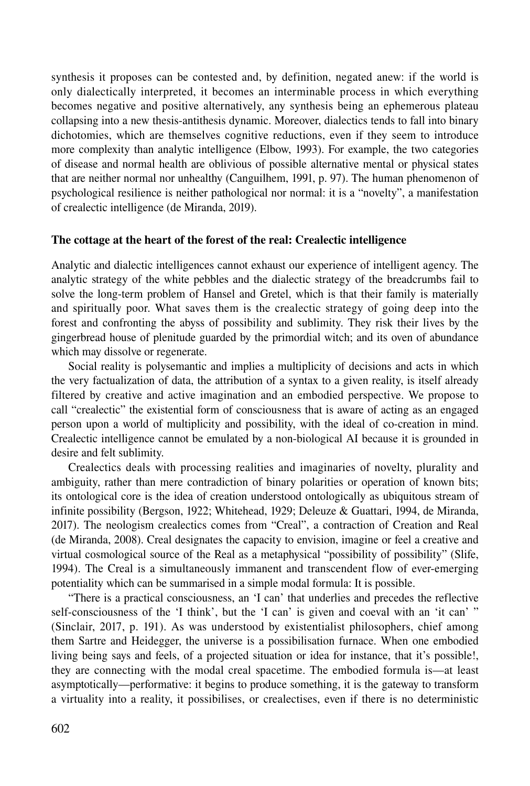synthesis it proposes can be contested and, by definition, negated anew: if the world is only dialectically interpreted, it becomes an interminable process in which everything becomes negative and positive alternatively, any synthesis being an ephemerous plateau collapsing into a new thesis-antithesis dynamic. Moreover, dialectics tends to fall into binary dichotomies, which are themselves cognitive reductions, even if they seem to introduce more complexity than analytic intelligence (Elbow, 1993). For example, the two categories of disease and normal health are oblivious of possible alternative mental or physical states that are neither normal nor unhealthy (Canguilhem, 1991, p. 97). The human phenomenon of psychological resilience is neither pathological nor normal: it is a "novelty", a manifestation of crealectic intelligence (de Miranda, 2019).

## The cottage at the heart of the forest of the real: Crealectic intelligence

Analytic and dialectic intelligences cannot exhaust our experience of intelligent agency. The analytic strategy of the white pebbles and the dialectic strategy of the breadcrumbs fail to solve the long-term problem of Hansel and Gretel, which is that their family is materially and spiritually poor. What saves them is the crealectic strategy of going deep into the forest and confronting the abyss of possibility and sublimity. They risk their lives by the gingerbread house of plenitude guarded by the primordial witch; and its oven of abundance which may dissolve or regenerate.

Social reality is polysemantic and implies a multiplicity of decisions and acts in which the very factualization of data, the attribution of a syntax to a given reality, is itself already filtered by creative and active imagination and an embodied perspective. We propose to call "crealectic" the existential form of consciousness that is aware of acting as an engaged person upon a world of multiplicity and possibility, with the ideal of co-creation in mind. Crealectic intelligence cannot be emulated by a non-biological AI because it is grounded in desire and felt sublimity.

Crealectics deals with processing realities and imaginaries of novelty, plurality and ambiguity, rather than mere contradiction of binary polarities or operation of known bits; its ontological core is the idea of creation understood ontologically as ubiquitous stream of infinite possibility (Bergson, 1922; Whitehead, 1929; Deleuze & Guattari, 1994, de Miranda, 2017). The neologism crealectics comes from "Creal", a contraction of Creation and Real (de Miranda, 2008). Creal designates the capacity to envision, imagine or feel a creative and virtual cosmological source of the Real as a metaphysical "possibility of possibility" (Slife, 1994). The Creal is a simultaneously immanent and transcendent flow of ever-emerging potentiality which can be summarised in a simple modal formula: It is possible.

"There is a practical consciousness, an 'I can' that underlies and precedes the reflective self-consciousness of the 'I think', but the 'I can' is given and coeval with an 'it can' " (Sinclair, 2017, p. 191). As was understood by existentialist philosophers, chief among them Sartre and Heidegger, the universe is a possibilisation furnace. When one embodied living being says and feels, of a projected situation or idea for instance, that it's possible!, they are connecting with the modal creal spacetime. The embodied formula is—at least asymptotically—performative: it begins to produce something, it is the gateway to transform a virtuality into a reality, it possibilises, or crealectises, even if there is no deterministic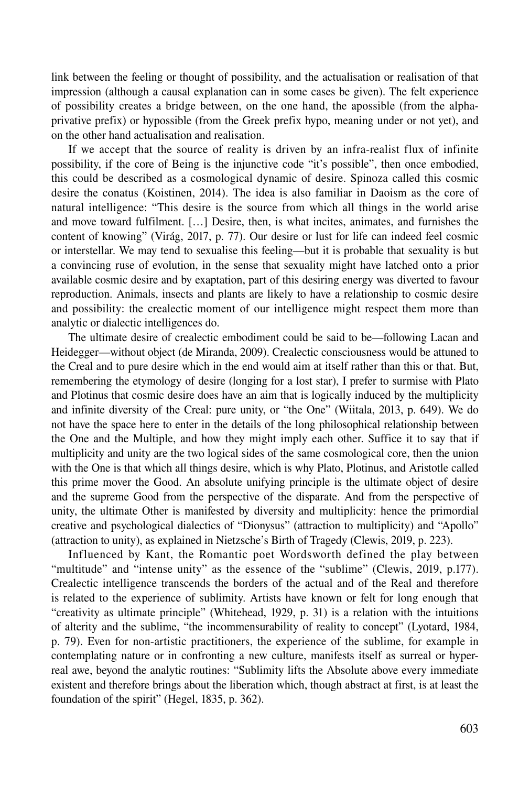link between the feeling or thought of possibility, and the actualisation or realisation of that impression (although a causal explanation can in some cases be given). The felt experience of possibility creates a bridge between, on the one hand, the apossible (from the alphaprivative prefix) or hypossible (from the Greek prefix hypo, meaning under or not yet), and on the other hand actualisation and realisation.

If we accept that the source of reality is driven by an infra-realist flux of infinite possibility, if the core of Being is the injunctive code "it's possible", then once embodied, this could be described as a cosmological dynamic of desire. Spinoza called this cosmic desire the conatus (Koistinen, 2014). The idea is also familiar in Daoism as the core of natural intelligence: "This desire is the source from which all things in the world arise and move toward fulfilment. […] Desire, then, is what incites, animates, and furnishes the content of knowing" (Virág, 2017, p. 77). Our desire or lust for life can indeed feel cosmic or interstellar. We may tend to sexualise this feeling—but it is probable that sexuality is but a convincing ruse of evolution, in the sense that sexuality might have latched onto a prior available cosmic desire and by exaptation, part of this desiring energy was diverted to favour reproduction. Animals, insects and plants are likely to have a relationship to cosmic desire and possibility: the crealectic moment of our intelligence might respect them more than analytic or dialectic intelligences do.

The ultimate desire of crealectic embodiment could be said to be—following Lacan and Heidegger—without object (de Miranda, 2009). Crealectic consciousness would be attuned to the Creal and to pure desire which in the end would aim at itself rather than this or that. But, remembering the etymology of desire (longing for a lost star), I prefer to surmise with Plato and Plotinus that cosmic desire does have an aim that is logically induced by the multiplicity and infinite diversity of the Creal: pure unity, or "the One" (Wiitala, 2013, p. 649). We do not have the space here to enter in the details of the long philosophical relationship between the One and the Multiple, and how they might imply each other. Suffice it to say that if multiplicity and unity are the two logical sides of the same cosmological core, then the union with the One is that which all things desire, which is why Plato, Plotinus, and Aristotle called this prime mover the Good. An absolute unifying principle is the ultimate object of desire and the supreme Good from the perspective of the disparate. And from the perspective of unity, the ultimate Other is manifested by diversity and multiplicity: hence the primordial creative and psychological dialectics of "Dionysus" (attraction to multiplicity) and "Apollo" (attraction to unity), as explained in Nietzsche's Birth of Tragedy (Clewis, 2019, p. 223).

Influenced by Kant, the Romantic poet Wordsworth defined the play between "multitude" and "intense unity" as the essence of the "sublime" (Clewis, 2019, p.177). Crealectic intelligence transcends the borders of the actual and of the Real and therefore is related to the experience of sublimity. Artists have known or felt for long enough that "creativity as ultimate principle" (Whitehead, 1929, p. 31) is a relation with the intuitions of alterity and the sublime, "the incommensurability of reality to concept" (Lyotard, 1984, p. 79). Even for non-artistic practitioners, the experience of the sublime, for example in contemplating nature or in confronting a new culture, manifests itself as surreal or hyperreal awe, beyond the analytic routines: "Sublimity lifts the Absolute above every immediate existent and therefore brings about the liberation which, though abstract at first, is at least the foundation of the spirit" (Hegel, 1835, p. 362).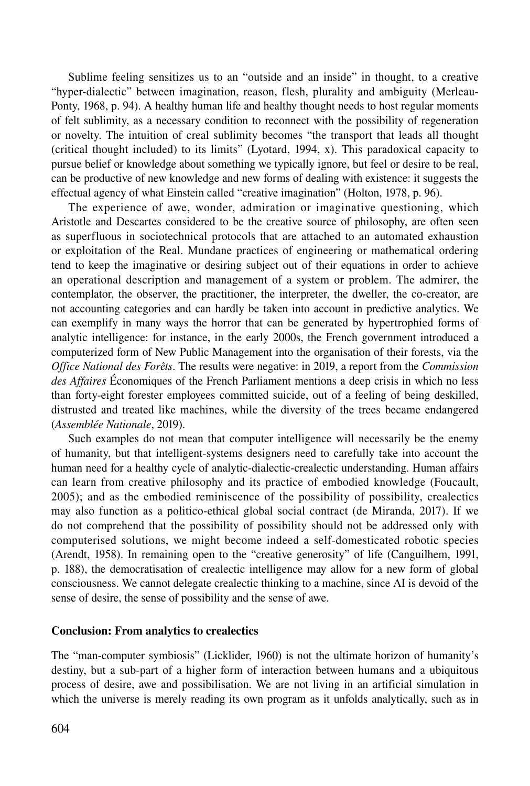Sublime feeling sensitizes us to an "outside and an inside" in thought, to a creative "hyper-dialectic" between imagination, reason, flesh, plurality and ambiguity (Merleau-Ponty, 1968, p. 94). A healthy human life and healthy thought needs to host regular moments of felt sublimity, as a necessary condition to reconnect with the possibility of regeneration or novelty. The intuition of creal sublimity becomes "the transport that leads all thought (critical thought included) to its limits" (Lyotard, 1994, x). This paradoxical capacity to pursue belief or knowledge about something we typically ignore, but feel or desire to be real, can be productive of new knowledge and new forms of dealing with existence: it suggests the effectual agency of what Einstein called "creative imagination" (Holton, 1978, p. 96).

The experience of awe, wonder, admiration or imaginative questioning, which Aristotle and Descartes considered to be the creative source of philosophy, are often seen as superfluous in sociotechnical protocols that are attached to an automated exhaustion or exploitation of the Real. Mundane practices of engineering or mathematical ordering tend to keep the imaginative or desiring subject out of their equations in order to achieve an operational description and management of a system or problem. The admirer, the contemplator, the observer, the practitioner, the interpreter, the dweller, the co-creator, are not accounting categories and can hardly be taken into account in predictive analytics. We can exemplify in many ways the horror that can be generated by hypertrophied forms of analytic intelligence: for instance, in the early 2000s, the French government introduced a computerized form of New Public Management into the organisation of their forests, via the *Office National des Forêts*. The results were negative: in 2019, a report from the *Commission des Affaires* Économiques of the French Parliament mentions a deep crisis in which no less than forty-eight forester employees committed suicide, out of a feeling of being deskilled, distrusted and treated like machines, while the diversity of the trees became endangered (*Assemblée Nationale*, 2019).

Such examples do not mean that computer intelligence will necessarily be the enemy of humanity, but that intelligent-systems designers need to carefully take into account the human need for a healthy cycle of analytic-dialectic-crealectic understanding. Human affairs can learn from creative philosophy and its practice of embodied knowledge (Foucault, 2005); and as the embodied reminiscence of the possibility of possibility, crealectics may also function as a politico-ethical global social contract (de Miranda, 2017). If we do not comprehend that the possibility of possibility should not be addressed only with computerised solutions, we might become indeed a self-domesticated robotic species (Arendt, 1958). In remaining open to the "creative generosity" of life (Canguilhem, 1991, p. 188), the democratisation of crealectic intelligence may allow for a new form of global consciousness. We cannot delegate crealectic thinking to a machine, since AI is devoid of the sense of desire, the sense of possibility and the sense of awe.

## Conclusion: From analytics to crealectics

The "man-computer symbiosis" (Licklider, 1960) is not the ultimate horizon of humanity's destiny, but a sub-part of a higher form of interaction between humans and a ubiquitous process of desire, awe and possibilisation. We are not living in an artificial simulation in which the universe is merely reading its own program as it unfolds analytically, such as in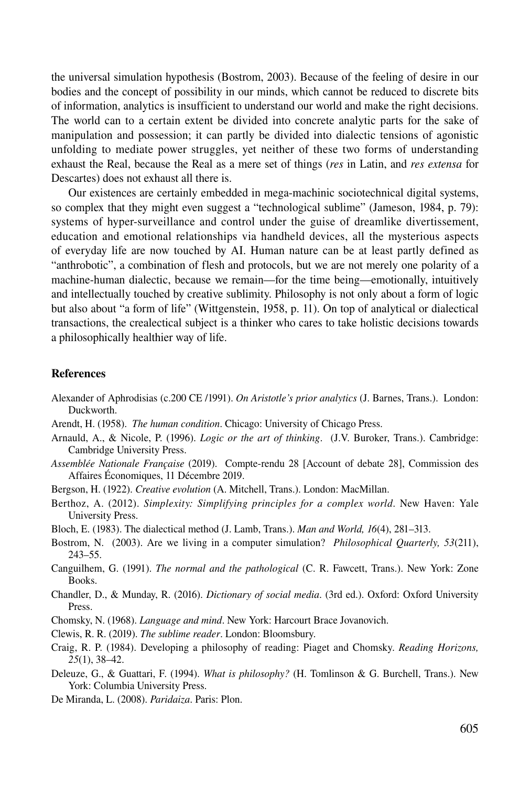the universal simulation hypothesis (Bostrom, 2003). Because of the feeling of desire in our bodies and the concept of possibility in our minds, which cannot be reduced to discrete bits of information, analytics is insufficient to understand our world and make the right decisions. The world can to a certain extent be divided into concrete analytic parts for the sake of manipulation and possession; it can partly be divided into dialectic tensions of agonistic unfolding to mediate power struggles, yet neither of these two forms of understanding exhaust the Real, because the Real as a mere set of things (*res* in Latin, and *res extensa* for Descartes) does not exhaust all there is.

Our existences are certainly embedded in mega-machinic sociotechnical digital systems, so complex that they might even suggest a "technological sublime" (Jameson, 1984, p. 79): systems of hyper-surveillance and control under the guise of dreamlike divertissement, education and emotional relationships via handheld devices, all the mysterious aspects of everyday life are now touched by AI. Human nature can be at least partly defined as "anthrobotic", a combination of flesh and protocols, but we are not merely one polarity of a machine-human dialectic, because we remain—for the time being—emotionally, intuitively and intellectually touched by creative sublimity. Philosophy is not only about a form of logic but also about "a form of life" (Wittgenstein, 1958, p. 11). On top of analytical or dialectical transactions, the crealectical subject is a thinker who cares to take holistic decisions towards a philosophically healthier way of life.

#### **References**

- Alexander of Aphrodisias (c.200 CE /1991). *On Aristotle's prior analytics* (J. Barnes, Trans.). London: Duckworth.
- Arendt, H. (1958). *The human condition*. Chicago: University of Chicago Press.
- Arnauld, A., & Nicole, P. (1996). *Logic or the art of thinking*. (J.V. Buroker, Trans.). Cambridge: Cambridge University Press.
- *Assemblée Nationale Française* (2019). Compte-rendu 28 [Account of debate 28], Commission des Affaires Économiques, 11 Décembre 2019.
- Bergson, H. (1922). *Creative evolution* (A. Mitchell, Trans.). London: MacMillan.
- Berthoz, A. (2012). *Simplexity: Simplifying principles for a complex world*. New Haven: Yale University Press.
- Bloch, E. (1983). The dialectical method (J. Lamb, Trans.). *Man and World, 16*(4), 281–313.
- Bostrom, N. (2003). Are we living in a computer simulation? *Philosophical Quarterly, 53*(211), 243–55.
- Canguilhem, G. (1991). *The normal and the pathological* (C. R. Fawcett, Trans.). New York: Zone Books.
- Chandler, D., & Munday, R. (2016). *Dictionary of social media*. (3rd ed.). Oxford: Oxford University Press.
- Chomsky, N. (1968). *Language and mind*. New York: Harcourt Brace Jovanovich.
- Clewis, R. R. (2019). *The sublime reader*. London: Bloomsbury.
- Craig, R. P. (1984). Developing a philosophy of reading: Piaget and Chomsky. *Reading Horizons, 25*(1), 38–42.
- Deleuze, G., & Guattari, F. (1994). *What is philosophy?* (H. Tomlinson & G. Burchell, Trans.). New York: Columbia University Press.
- De Miranda, L. (2008). *Paridaiza*. Paris: Plon.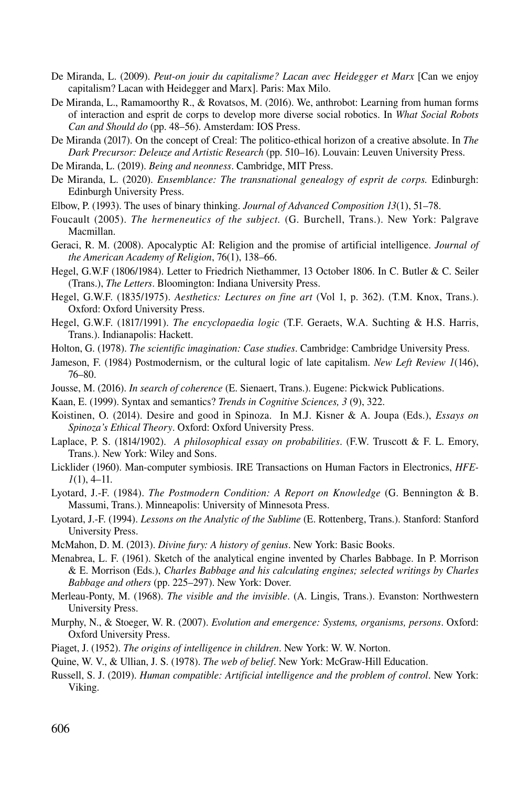- De Miranda, L. (2009). *Peut-on jouir du capitalisme? Lacan avec Heidegger et Marx* [Can we enjoy capitalism? Lacan with Heidegger and Marx]. Paris: Max Milo.
- De Miranda, L., Ramamoorthy R., & Rovatsos, M. (2016). We, anthrobot: Learning from human forms of interaction and esprit de corps to develop more diverse social robotics. In *What Social Robots Can and Should do* (pp. 48–56). Amsterdam: IOS Press.
- De Miranda (2017). On the concept of Creal: The politico-ethical horizon of a creative absolute. In *The Dark Precursor: Deleuze and Artistic Research* (pp. 510–16). Louvain: Leuven University Press.
- De Miranda, L. (2019). *Being and neonness*. Cambridge, MIT Press.
- De Miranda, L. (2020). *Ensemblance: The transnational genealogy of esprit de corps.* Edinburgh: Edinburgh University Press.
- Elbow, P. (1993). The uses of binary thinking. *Journal of Advanced Composition 13*(1), 51–78.
- Foucault (2005). *The hermeneutics of the subject.* (G. Burchell, Trans.). New York: Palgrave Macmillan.
- Geraci, R. M. (2008). Apocalyptic AI: Religion and the promise of artificial intelligence. *Journal of the American Academy of Religion*, 76(1), 138–66.
- Hegel, G.W.F (1806/1984). Letter to Friedrich Niethammer, 13 October 1806. In C. Butler & C. Seiler (Trans.), *The Letters*. Bloomington: Indiana University Press.
- Hegel, G.W.F. (1835/1975). *Aesthetics: Lectures on fine art* (Vol 1, p. 362). (T.M. Knox, Trans.). Oxford: Oxford University Press.
- Hegel, G.W.F. (1817/1991). *The encyclopaedia logic* (T.F. Geraets, W.A. Suchting & H.S. Harris, Trans.). Indianapolis: Hackett.
- Holton, G. (1978). *The scientific imagination: Case studies*. Cambridge: Cambridge University Press.
- Jameson, F. (1984) Postmodernism, or the cultural logic of late capitalism. *New Left Review 1*(146), 76–80.
- Jousse, M. (2016). *In search of coherence* (E. Sienaert, Trans.). Eugene: Pickwick Publications.
- Kaan, E. (1999). Syntax and semantics? *Trends in Cognitive Sciences, 3* (9), 322.
- Koistinen, O. (2014). Desire and good in Spinoza. In M.J. Kisner & A. Joupa (Eds.), *Essays on Spinoza's Ethical Theory*. Oxford: Oxford University Press.
- Laplace, P. S. (1814/1902). *A philosophical essay on probabilities*. (F.W. Truscott & F. L. Emory, Trans.). New York: Wiley and Sons.
- Licklider (1960). Man-computer symbiosis. IRE Transactions on Human Factors in Electronics, *HFE-1*(1), 4–11.
- Lyotard, J.-F. (1984). *The Postmodern Condition: A Report on Knowledge* (G. Bennington & B. Massumi, Trans.). Minneapolis: University of Minnesota Press.
- Lyotard, J.-F. (1994). *Lessons on the Analytic of the Sublime* (E. Rottenberg, Trans.). Stanford: Stanford University Press.
- McMahon, D. M. (2013). *Divine fury: A history of genius*. New York: Basic Books.
- Menabrea, L. F. (1961). Sketch of the analytical engine invented by Charles Babbage. In P. Morrison & E. Morrison (Eds.), *Charles Babbage and his calculating engines; selected writings by Charles Babbage and others* (pp. 225–297). New York: Dover.
- Merleau-Ponty, M. (1968). *The visible and the invisible*. (A. Lingis, Trans.). Evanston: Northwestern University Press.
- Murphy, N., & Stoeger, W. R. (2007). *Evolution and emergence: Systems, organisms, persons*. Oxford: Oxford University Press.
- Piaget, J. (1952). *The origins of intelligence in children*. New York: W. W. Norton.
- Quine, W. V., & Ullian, J. S. (1978). *The web of belief*. New York: McGraw-Hill Education.
- Russell, S. J. (2019). *Human compatible: Artificial intelligence and the problem of control*. New York: Viking.